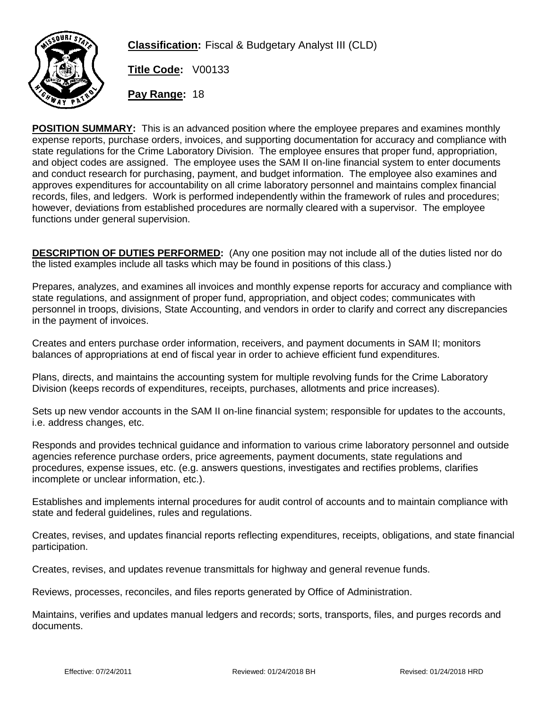

**Classification:** Fiscal & Budgetary Analyst III (CLD)

**Title Code:** V00133

**Pay Range:** 18

**POSITION SUMMARY:** This is an advanced position where the employee prepares and examines monthly expense reports, purchase orders, invoices, and supporting documentation for accuracy and compliance with state regulations for the Crime Laboratory Division. The employee ensures that proper fund, appropriation, and object codes are assigned. The employee uses the SAM II on-line financial system to enter documents and conduct research for purchasing, payment, and budget information. The employee also examines and approves expenditures for accountability on all crime laboratory personnel and maintains complex financial records, files, and ledgers. Work is performed independently within the framework of rules and procedures; however, deviations from established procedures are normally cleared with a supervisor. The employee functions under general supervision.

**DESCRIPTION OF DUTIES PERFORMED:** (Any one position may not include all of the duties listed nor do the listed examples include all tasks which may be found in positions of this class.)

Prepares, analyzes, and examines all invoices and monthly expense reports for accuracy and compliance with state regulations, and assignment of proper fund, appropriation, and object codes; communicates with personnel in troops, divisions, State Accounting, and vendors in order to clarify and correct any discrepancies in the payment of invoices.

Creates and enters purchase order information, receivers, and payment documents in SAM II; monitors balances of appropriations at end of fiscal year in order to achieve efficient fund expenditures.

Plans, directs, and maintains the accounting system for multiple revolving funds for the Crime Laboratory Division (keeps records of expenditures, receipts, purchases, allotments and price increases).

Sets up new vendor accounts in the SAM II on-line financial system; responsible for updates to the accounts, i.e. address changes, etc.

Responds and provides technical guidance and information to various crime laboratory personnel and outside agencies reference purchase orders, price agreements, payment documents, state regulations and procedures, expense issues, etc. (e.g. answers questions, investigates and rectifies problems, clarifies incomplete or unclear information, etc.).

Establishes and implements internal procedures for audit control of accounts and to maintain compliance with state and federal guidelines, rules and regulations.

Creates, revises, and updates financial reports reflecting expenditures, receipts, obligations, and state financial participation.

Creates, revises, and updates revenue transmittals for highway and general revenue funds.

Reviews, processes, reconciles, and files reports generated by Office of Administration.

Maintains, verifies and updates manual ledgers and records; sorts, transports, files, and purges records and documents.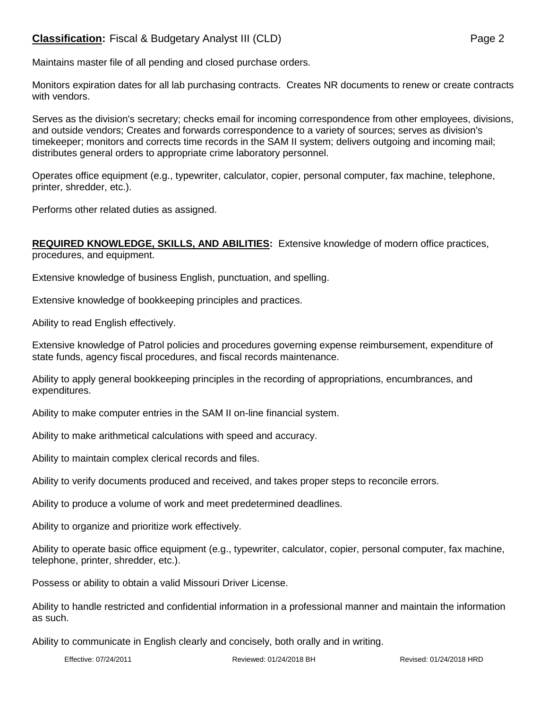## **Classification:** Fiscal & Budgetary Analyst III (CLD) **Page 2** Page 2

Maintains master file of all pending and closed purchase orders.

Monitors expiration dates for all lab purchasing contracts. Creates NR documents to renew or create contracts with vendors.

Serves as the division's secretary; checks email for incoming correspondence from other employees, divisions, and outside vendors; Creates and forwards correspondence to a variety of sources; serves as division's timekeeper; monitors and corrects time records in the SAM II system; delivers outgoing and incoming mail; distributes general orders to appropriate crime laboratory personnel.

Operates office equipment (e.g., typewriter, calculator, copier, personal computer, fax machine, telephone, printer, shredder, etc.).

Performs other related duties as assigned.

## **REQUIRED KNOWLEDGE, SKILLS, AND ABILITIES:** Extensive knowledge of modern office practices, procedures, and equipment.

Extensive knowledge of business English, punctuation, and spelling.

Extensive knowledge of bookkeeping principles and practices.

Ability to read English effectively.

Extensive knowledge of Patrol policies and procedures governing expense reimbursement, expenditure of state funds, agency fiscal procedures, and fiscal records maintenance.

Ability to apply general bookkeeping principles in the recording of appropriations, encumbrances, and expenditures.

Ability to make computer entries in the SAM II on-line financial system.

Ability to make arithmetical calculations with speed and accuracy.

Ability to maintain complex clerical records and files.

Ability to verify documents produced and received, and takes proper steps to reconcile errors.

Ability to produce a volume of work and meet predetermined deadlines.

Ability to organize and prioritize work effectively.

Ability to operate basic office equipment (e.g., typewriter, calculator, copier, personal computer, fax machine, telephone, printer, shredder, etc.).

Possess or ability to obtain a valid Missouri Driver License.

Ability to handle restricted and confidential information in a professional manner and maintain the information as such.

Ability to communicate in English clearly and concisely, both orally and in writing.